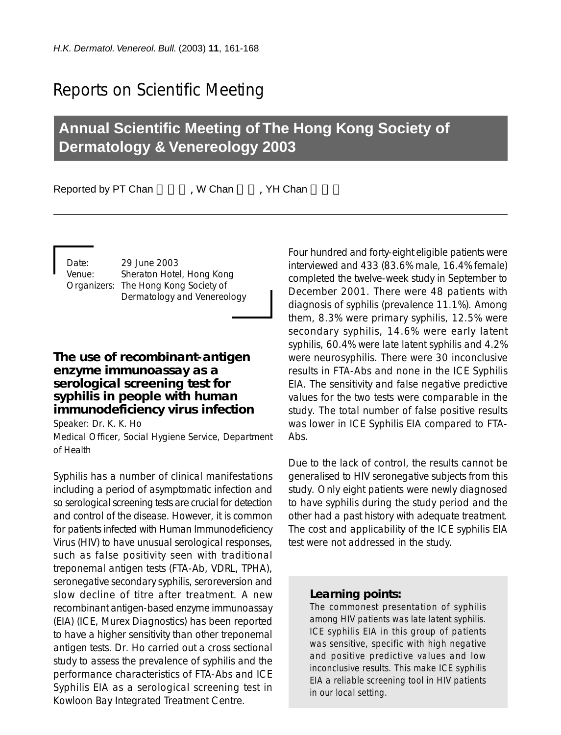# Reports on Scientific Meeting

# **Annual Scientific Meeting of The Hong Kong Society of Dermatology & Venereology 2003**

Reported by PT Chan W Chan FYH Chan

Date: 29 June 2003 Venue: Sheraton Hotel, Hong Kong Organizers: The Hong Kong Society of Dermatology and Venereology

### **The use of recombinant-antigen enzyme immunoassay as a serological screening test for syphilis in people with human immunodeficiency virus infection**

Speaker: Dr. K. K. Ho

Medical Officer, Social Hygiene Service, Department of Health

Syphilis has a number of clinical manifestations including a period of asymptomatic infection and so serological screening tests are crucial for detection and control of the disease. However, it is common for patients infected with Human Immunodeficiency Virus (HIV) to have unusual serological responses, such as false positivity seen with traditional treponemal antigen tests (FTA-Ab, VDRL, TPHA), seronegative secondary syphilis, seroreversion and slow decline of titre after treatment. A new recombinant antigen-based enzyme immunoassay (EIA) (ICE, Murex Diagnostics) has been reported to have a higher sensitivity than other treponemal antigen tests. Dr. Ho carried out a cross sectional study to assess the prevalence of syphilis and the performance characteristics of FTA-Abs and ICE Syphilis EIA as a serological screening test in Kowloon Bay Integrated Treatment Centre.

Four hundred and forty-eight eligible patients were interviewed and 433 (83.6% male, 16.4% female) completed the twelve-week study in September to December 2001. There were 48 patients with diagnosis of syphilis (prevalence 11.1%). Among them, 8.3% were primary syphilis, 12.5% were secondary syphilis, 14.6% were early latent syphilis, 60.4% were late latent syphilis and 4.2% were neurosyphilis. There were 30 inconclusive results in FTA-Abs and none in the ICE Syphilis EIA. The sensitivity and false negative predictive values for the two tests were comparable in the study. The total number of false positive results was lower in ICE Syphilis EIA compared to FTA-Abs.

Due to the lack of control, the results cannot be generalised to HIV seronegative subjects from this study. Only eight patients were newly diagnosed to have syphilis during the study period and the other had a past history with adequate treatment. The cost and applicability of the ICE syphilis EIA test were not addressed in the study.

#### *Learning points:*

*The commonest presentation of syphilis among HIV patients was late latent syphilis. ICE syphilis EIA in this group of patients was sensitive, specific with high negative and positive predictive values and low inconclusive results. This make ICE syphilis EIA a reliable screening tool in HIV patients in our local setting.*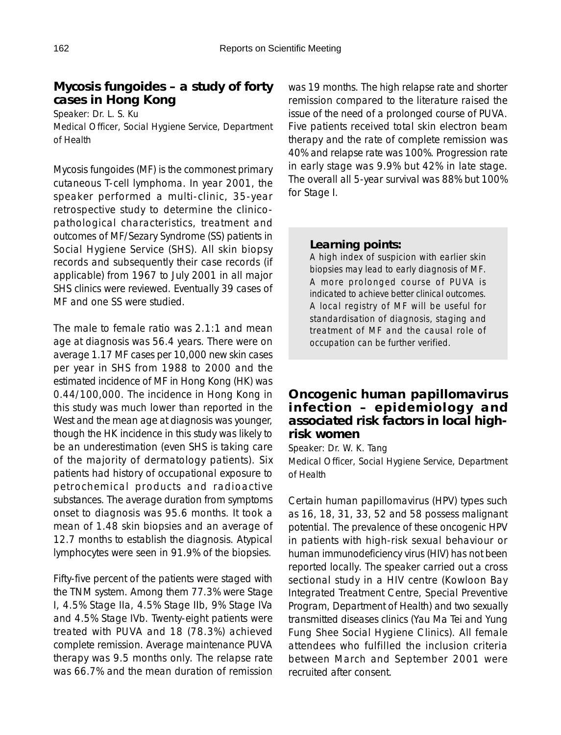## **Mycosis fungoides – a study of forty cases in Hong Kong**

Speaker: Dr. L. S. Ku Medical Officer, Social Hygiene Service, Department of Health

Mycosis fungoides (MF) is the commonest primary cutaneous T-cell lymphoma. In year 2001, the speaker performed a multi-clinic, 35-year retrospective study to determine the clinicopathological characteristics, treatment and outcomes of MF/Sezary Syndrome (SS) patients in Social Hygiene Service (SHS). All skin biopsy records and subsequently their case records (if applicable) from 1967 to July 2001 in all major SHS clinics were reviewed. Eventually 39 cases of MF and one SS were studied.

The male to female ratio was 2.1:1 and mean age at diagnosis was 56.4 years. There were on average 1.17 MF cases per 10,000 new skin cases per year in SHS from 1988 to 2000 and the estimated incidence of MF in Hong Kong (HK) was 0.44/100,000. The incidence in Hong Kong in this study was much lower than reported in the West and the mean age at diagnosis was younger, though the HK incidence in this study was likely to be an underestimation (even SHS is taking care of the majority of dermatology patients). Six patients had history of occupational exposure to petrochemical products and radioactive substances. The average duration from symptoms onset to diagnosis was 95.6 months. It took a mean of 1.48 skin biopsies and an average of 12.7 months to establish the diagnosis. Atypical lymphocytes were seen in 91.9% of the biopsies.

Fifty-five percent of the patients were staged with the TNM system. Among them 77.3% were Stage I, 4.5% Stage IIa, 4.5% Stage IIb, 9% Stage IVa and 4.5% Stage IVb. Twenty-eight patients were treated with PUVA and 18 (78.3%) achieved complete remission. Average maintenance PUVA therapy was 9.5 months only. The relapse rate was 66.7% and the mean duration of remission

was 19 months. The high relapse rate and shorter remission compared to the literature raised the issue of the need of a prolonged course of PUVA. Five patients received total skin electron beam therapy and the rate of complete remission was 40% and relapse rate was 100%. Progression rate in early stage was 9.9% but 42% in late stage. The overall all 5-year survival was 88% but 100% for Stage I.

#### *Learning points:*

*A high index of suspicion with earlier skin biopsies may lead to early diagnosis of MF. A more prolonged course of PUVA is indicated to achieve better clinical outcomes. A local registry of MF will be useful for standardisation of diagnosis, staging and treatment of MF and the causal role of occupation can be further verified.*

### **Oncogenic human papillomavirus infection – epidemiology and associated risk factors in local highrisk women**

Speaker: Dr. W. K. Tang Medical Officer, Social Hygiene Service, Department of Health

Certain human papillomavirus (HPV) types such as 16, 18, 31, 33, 52 and 58 possess malignant potential. The prevalence of these oncogenic HPV in patients with high-risk sexual behaviour or human immunodeficiency virus (HIV) has not been reported locally. The speaker carried out a cross sectional study in a HIV centre (Kowloon Bay Integrated Treatment Centre, Special Preventive Program, Department of Health) and two sexually transmitted diseases clinics (Yau Ma Tei and Yung Fung Shee Social Hygiene Clinics). All female attendees who fulfilled the inclusion criteria between March and September 2001 were recruited after consent.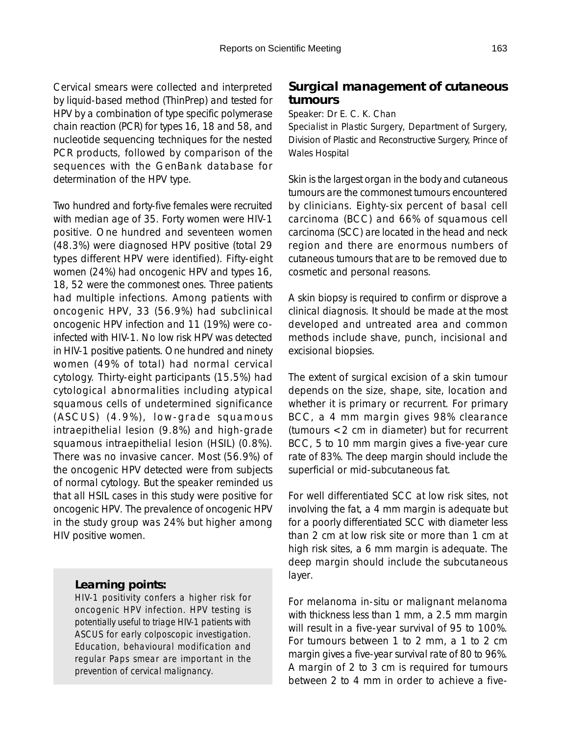Cervical smears were collected and interpreted by liquid-based method (ThinPrep) and tested for HPV by a combination of type specific polymerase chain reaction (PCR) for types 16, 18 and 58, and nucleotide sequencing techniques for the nested PCR products, followed by comparison of the sequences with the GenBank database for determination of the HPV type.

Two hundred and forty-five females were recruited with median age of 35. Forty women were HIV-1 positive. One hundred and seventeen women (48.3%) were diagnosed HPV positive (total 29 types different HPV were identified). Fifty-eight women (24%) had oncogenic HPV and types 16, 18, 52 were the commonest ones. Three patients had multiple infections. Among patients with oncogenic HPV, 33 (56.9%) had subclinical oncogenic HPV infection and 11 (19%) were coinfected with HIV-1. No low risk HPV was detected in HIV-1 positive patients. One hundred and ninety women (49% of total) had normal cervical cytology. Thirty-eight participants (15.5%) had cytological abnormalities including atypical squamous cells of undetermined significance (ASCUS) (4.9%), low-grade squamous intraepithelial lesion (9.8%) and high-grade squamous intraepithelial lesion (HSIL) (0.8%). There was no invasive cancer. Most (56.9%) of the oncogenic HPV detected were from subjects of normal cytology. But the speaker reminded us that all HSIL cases in this study were positive for oncogenic HPV. The prevalence of oncogenic HPV in the study group was 24% but higher among HIV positive women.

#### *Learning points:*

*HIV-1 positivity confers a higher risk for oncogenic HPV infection. HPV testing is potentially useful to triage HIV-1 patients with ASCUS for early colposcopic investigation. Education, behavioural modification and regular Paps smear are important in the prevention of cervical malignancy.*

## **Surgical management of cutaneous tumours**

Speaker: Dr E. C. K. Chan

Specialist in Plastic Surgery, Department of Surgery, Division of Plastic and Reconstructive Surgery, Prince of Wales Hospital

Skin is the largest organ in the body and cutaneous tumours are the commonest tumours encountered by clinicians. Eighty-six percent of basal cell carcinoma (BCC) and 66% of squamous cell carcinoma (SCC) are located in the head and neck region and there are enormous numbers of cutaneous tumours that are to be removed due to cosmetic and personal reasons.

A skin biopsy is required to confirm or disprove a clinical diagnosis. It should be made at the most developed and untreated area and common methods include shave, punch, incisional and excisional biopsies.

The extent of surgical excision of a skin tumour depends on the size, shape, site, location and whether it is primary or recurrent. For primary BCC, a 4 mm margin gives 98% clearance (tumours <2 cm in diameter) but for recurrent BCC, 5 to 10 mm margin gives a five-year cure rate of 83%. The deep margin should include the superficial or mid-subcutaneous fat.

For well differentiated SCC at low risk sites, not involving the fat, a 4 mm margin is adequate but for a poorly differentiated SCC with diameter less than 2 cm at low risk site or more than 1 cm at high risk sites, a 6 mm margin is adequate. The deep margin should include the subcutaneous layer.

For melanoma in-situ or malignant melanoma with thickness less than 1 mm, a 2.5 mm margin will result in a five-year survival of 95 to 100%. For tumours between 1 to 2 mm, a 1 to 2 cm margin gives a five-year survival rate of 80 to 96%. A margin of 2 to 3 cm is required for tumours between 2 to 4 mm in order to achieve a five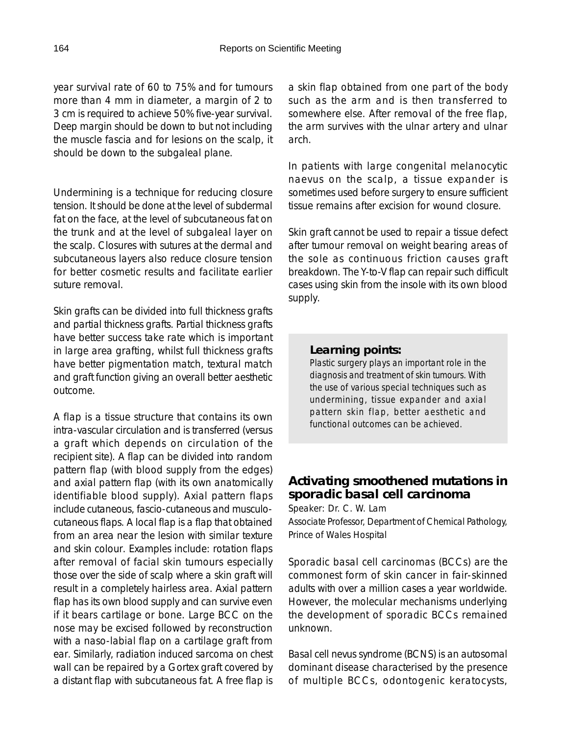year survival rate of 60 to 75% and for tumours more than 4 mm in diameter, a margin of 2 to 3 cm is required to achieve 50% five-year survival. Deep margin should be down to but not including the muscle fascia and for lesions on the scalp, it should be down to the subgaleal plane.

Undermining is a technique for reducing closure tension. It should be done at the level of subdermal fat on the face, at the level of subcutaneous fat on the trunk and at the level of subgaleal layer on the scalp. Closures with sutures at the dermal and subcutaneous layers also reduce closure tension for better cosmetic results and facilitate earlier suture removal.

Skin grafts can be divided into full thickness grafts and partial thickness grafts. Partial thickness grafts have better success take rate which is important in large area grafting, whilst full thickness grafts have better pigmentation match, textural match and graft function giving an overall better aesthetic outcome.

A flap is a tissue structure that contains its own intra-vascular circulation and is transferred (versus a graft which depends on circulation of the recipient site). A flap can be divided into random pattern flap (with blood supply from the edges) and axial pattern flap (with its own anatomically identifiable blood supply). Axial pattern flaps include cutaneous, fascio-cutaneous and musculocutaneous flaps. A local flap is a flap that obtained from an area near the lesion with similar texture and skin colour. Examples include: rotation flaps after removal of facial skin tumours especially those over the side of scalp where a skin graft will result in a completely hairless area. Axial pattern flap has its own blood supply and can survive even if it bears cartilage or bone. Large BCC on the nose may be excised followed by reconstruction with a naso-labial flap on a cartilage graft from ear. Similarly, radiation induced sarcoma on chest wall can be repaired by a Gortex graft covered by a distant flap with subcutaneous fat. A free flap is

a skin flap obtained from one part of the body such as the arm and is then transferred to somewhere else. After removal of the free flap, the arm survives with the ulnar artery and ulnar arch.

In patients with large congenital melanocytic naevus on the scalp, a tissue expander is sometimes used before surgery to ensure sufficient tissue remains after excision for wound closure.

Skin graft cannot be used to repair a tissue defect after tumour removal on weight bearing areas of the sole as continuous friction causes graft breakdown. The Y-to-V flap can repair such difficult cases using skin from the insole with its own blood supply.

#### *Learning points:*

*Plastic surgery plays an important role in the diagnosis and treatment of skin tumours. With the use of various special techniques such as undermining, tissue expander and axial pattern skin flap, better aesthetic and functional outcomes can be achieved.*

## **Activating smoothened mutations in sporadic basal cell carcinoma**

Speaker: Dr. C. W. Lam Associate Professor, Department of Chemical Pathology, Prince of Wales Hospital

Sporadic basal cell carcinomas (BCCs) are the commonest form of skin cancer in fair-skinned adults with over a million cases a year worldwide. However, the molecular mechanisms underlying the development of sporadic BCCs remained unknown.

Basal cell nevus syndrome (BCNS) is an autosomal dominant disease characterised by the presence of multiple BCCs, odontogenic keratocysts,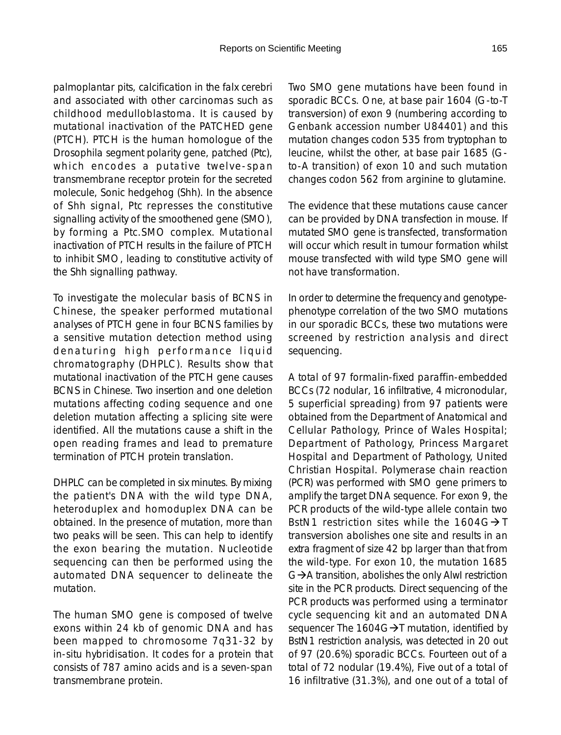palmoplantar pits, calcification in the falx cerebri and associated with other carcinomas such as childhood medulloblastoma. It is caused by mutational inactivation of the PATCHED gene (PTCH). PTCH is the human homologue of the Drosophila segment polarity gene, patched (Ptc), which encodes a putative twelve-span transmembrane receptor protein for the secreted molecule, Sonic hedgehog (Shh). In the absence of Shh signal, Ptc represses the constitutive signalling activity of the smoothened gene (SMO), by forming a Ptc.SMO complex. Mutational inactivation of PTCH results in the failure of PTCH to inhibit SMO, leading to constitutive activity of the Shh signalling pathway.

To investigate the molecular basis of BCNS in Chinese, the speaker performed mutational analyses of PTCH gene in four BCNS families by a sensitive mutation detection method using denaturing high performance liquid chromatography (DHPLC). Results show that mutational inactivation of the PTCH gene causes BCNS in Chinese. Two insertion and one deletion mutations affecting coding sequence and one deletion mutation affecting a splicing site were identified. All the mutations cause a shift in the open reading frames and lead to premature termination of PTCH protein translation.

DHPLC can be completed in six minutes. By mixing the patient's DNA with the wild type DNA, heteroduplex and homoduplex DNA can be obtained. In the presence of mutation, more than two peaks will be seen. This can help to identify the exon bearing the mutation. Nucleotide sequencing can then be performed using the automated DNA sequencer to delineate the mutation.

The human SMO gene is composed of twelve exons within 24 kb of genomic DNA and has been mapped to chromosome 7q31-32 by in-situ hybridisation. It codes for a protein that consists of 787 amino acids and is a seven-span transmembrane protein.

Two SMO gene mutations have been found in sporadic BCCs. One, at base pair 1604 (G-to-T transversion) of exon 9 (numbering according to Genbank accession number U84401) and this mutation changes codon 535 from tryptophan to leucine, whilst the other, at base pair 1685 (Gto-A transition) of exon 10 and such mutation changes codon 562 from arginine to glutamine.

The evidence that these mutations cause cancer can be provided by DNA transfection in mouse. If mutated SMO gene is transfected, transformation will occur which result in tumour formation whilst mouse transfected with wild type SMO gene will not have transformation.

In order to determine the frequency and genotypephenotype correlation of the two SMO mutations in our sporadic BCCs, these two mutations were screened by restriction analysis and direct sequencing.

A total of 97 formalin-fixed paraffin-embedded BCCs (72 nodular, 16 infiltrative, 4 micronodular, 5 superficial spreading) from 97 patients were obtained from the Department of Anatomical and Cellular Pathology, Prince of Wales Hospital; Department of Pathology, Princess Margaret Hospital and Department of Pathology, United Christian Hospital. Polymerase chain reaction (PCR) was performed with SMO gene primers to amplify the target DNA sequence. For exon 9, the PCR products of the wild-type allele contain two BstN1 restriction sites while the  $1604G \rightarrow T$ transversion abolishes one site and results in an extra fragment of size 42 bp larger than that from the wild-type. For exon 10, the mutation 1685  $G\rightarrow A$  transition, abolishes the only AlwI restriction site in the PCR products. Direct sequencing of the PCR products was performed using a terminator cycle sequencing kit and an automated DNA sequencer The  $1604G \rightarrow T$  mutation, identified by BstN1 restriction analysis, was detected in 20 out of 97 (20.6%) sporadic BCCs. Fourteen out of a total of 72 nodular (19.4%), Five out of a total of 16 infiltrative (31.3%), and one out of a total of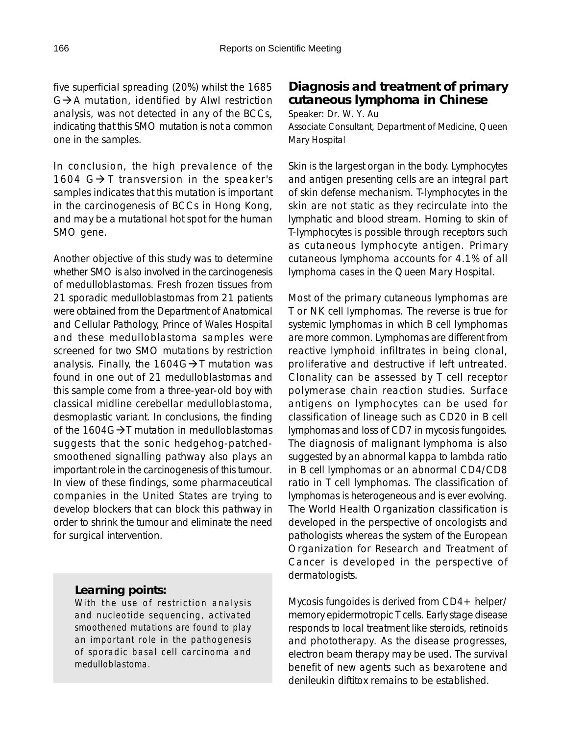five superficial spreading (20%) whilst the 1685  $G \rightarrow A$  mutation, identified by AlwI restriction analysis, was not detected in any of the BCCs, indicating that this SMO mutation is not a common one in the samples.

In conclusion, the high prevalence of the 1604 G $\rightarrow$ T transversion in the speaker's samples indicates that this mutation is important in the carcinogenesis of BCCs in Hong Kong, and may be a mutational hot spot for the human SMO gene.

Another objective of this study was to determine whether SMO is also involved in the carcinogenesis of medulloblastomas. Fresh frozen tissues from 21 sporadic medulloblastomas from 21 patients were obtained from the Department of Anatomical and Cellular Pathology, Prince of Wales Hospital and these medulloblastoma samples were screened for two SMO mutations by restriction analysis. Finally, the  $1604G \rightarrow T$  mutation was found in one out of 21 medulloblastomas and this sample come from a three-year-old boy with classical midline cerebellar medulloblastoma, desmoplastic variant. In conclusions, the finding of the 1604G $\rightarrow$ T mutation in medulloblastomas suggests that the sonic hedgehog-patchedsmoothened signalling pathway also plays an important role in the carcinogenesis of this tumour. In view of these findings, some pharmaceutical companies in the United States are trying to develop blockers that can block this pathway in order to shrink the tumour and eliminate the need for surgical intervention.

### *Learning points:*

*With the use of restriction analysis and nucleotide sequencing, activated smoothened mutations are found to play an important role in the pathogenesis of sporadic basal cell carcinoma and medulloblastoma.*

# **Diagnosis and treatment of primary cutaneous lymphoma in Chinese**

Speaker: Dr. W. Y. Au Associate Consultant, Department of Medicine, Queen Mary Hospital

Skin is the largest organ in the body. Lymphocytes and antigen presenting cells are an integral part of skin defense mechanism. T-lymphocytes in the skin are not static as they recirculate into the lymphatic and blood stream. Homing to skin of T-lymphocytes is possible through receptors such as cutaneous lymphocyte antigen. Primary cutaneous lymphoma accounts for 4.1% of all lymphoma cases in the Queen Mary Hospital.

Most of the primary cutaneous lymphomas are T or NK cell lymphomas. The reverse is true for systemic lymphomas in which B cell lymphomas are more common. Lymphomas are different from reactive lymphoid infiltrates in being clonal, proliferative and destructive if left untreated. Clonality can be assessed by T cell receptor polymerase chain reaction studies. Surface antigens on lymphocytes can be used for classification of lineage such as CD20 in B cell lymphomas and loss of CD7 in mycosis fungoides. The diagnosis of malignant lymphoma is also suggested by an abnormal kappa to lambda ratio in B cell lymphomas or an abnormal CD4/CD8 ratio in T cell lymphomas. The classification of lymphomas is heterogeneous and is ever evolving. The World Health Organization classification is developed in the perspective of oncologists and pathologists whereas the system of the European Organization for Research and Treatment of Cancer is developed in the perspective of dermatologists.

Mycosis fungoides is derived from CD4 + helper/ memory epidermotropic T cells. Early stage disease responds to local treatment like steroids, retinoids and phototherapy. As the disease progresses, electron beam therapy may be used. The survival benefit of new agents such as bexarotene and denileukin diftitox remains to be established.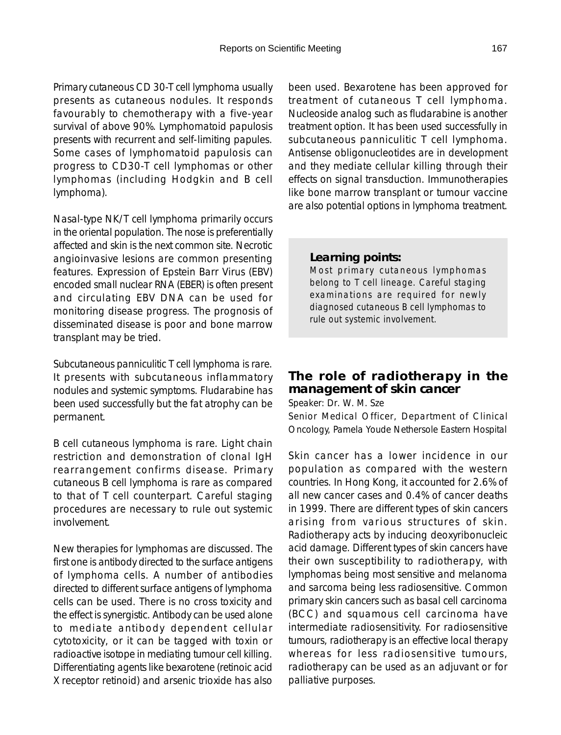Primary cutaneous CD 30-T cell lymphoma usually presents as cutaneous nodules. It responds favourably to chemotherapy with a five-year survival of above 90%. Lymphomatoid papulosis presents with recurrent and self-limiting papules. Some cases of lymphomatoid papulosis can progress to CD30-T cell lymphomas or other lymphomas (including Hodgkin and B cell lymphoma).

Nasal-type NK/T cell lymphoma primarily occurs in the oriental population. The nose is preferentially affected and skin is the next common site. Necrotic angioinvasive lesions are common presenting features. Expression of Epstein Barr Virus (EBV) encoded small nuclear RNA (EBER) is often present and circulating EBV DNA can be used for monitoring disease progress. The prognosis of disseminated disease is poor and bone marrow transplant may be tried.

Subcutaneous panniculitic T cell lymphoma is rare. It presents with subcutaneous inflammatory nodules and systemic symptoms. Fludarabine has been used successfully but the fat atrophy can be permanent.

B cell cutaneous lymphoma is rare. Light chain restriction and demonstration of clonal IgH rearrangement confirms disease. Primary cutaneous B cell lymphoma is rare as compared to that of T cell counterpart. Careful staging procedures are necessary to rule out systemic involvement.

New therapies for lymphomas are discussed. The first one is antibody directed to the surface antigens of lymphoma cells. A number of antibodies directed to different surface antigens of lymphoma cells can be used. There is no cross toxicity and the effect is synergistic. Antibody can be used alone to mediate antibody dependent cellular cytotoxicity, or it can be tagged with toxin or radioactive isotope in mediating tumour cell killing. Differentiating agents like bexarotene (retinoic acid X receptor retinoid) and arsenic trioxide has also

been used. Bexarotene has been approved for treatment of cutaneous T cell lymphoma. Nucleoside analog such as fludarabine is another treatment option. It has been used successfully in subcutaneous panniculitic T cell lymphoma. Antisense obligonucleotides are in development and they mediate cellular killing through their effects on signal transduction. Immunotherapies like bone marrow transplant or tumour vaccine are also potential options in lymphoma treatment.

#### *Learning points:*

*Most primary cutaneous lymphomas belong to T cell lineage. Careful staging examinations are required for newly diagnosed cutaneous B cell lymphomas to rule out systemic involvement.*

### **The role of radiotherapy in the management of skin cancer**

Speaker: Dr. W. M. Sze

Senior Medical Officer, Department of Clinical Oncology, Pamela Youde Nethersole Eastern Hospital

Skin cancer has a lower incidence in our population as compared with the western countries. In Hong Kong, it accounted for 2.6% of all new cancer cases and 0.4% of cancer deaths in 1999. There are different types of skin cancers arising from various structures of skin. Radiotherapy acts by inducing deoxyribonucleic acid damage. Different types of skin cancers have their own susceptibility to radiotherapy, with lymphomas being most sensitive and melanoma and sarcoma being less radiosensitive. Common primary skin cancers such as basal cell carcinoma (BCC) and squamous cell carcinoma have intermediate radiosensitivity. For radiosensitive tumours, radiotherapy is an effective local therapy whereas for less radiosensitive tumours, radiotherapy can be used as an adjuvant or for palliative purposes.